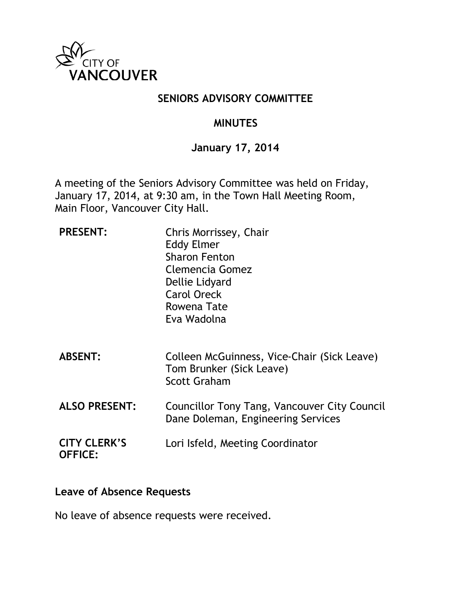

### **SENIORS ADVISORY COMMITTEE**

### **MINUTES**

#### **January 17, 2014**

A meeting of the Seniors Advisory Committee was held on Friday, January 17, 2014, at 9:30 am, in the Town Hall Meeting Room, Main Floor, Vancouver City Hall.

| <b>PRESENT:</b>                       | Chris Morrissey, Chair<br><b>Eddy Elmer</b><br><b>Sharon Fenton</b><br>Clemencia Gomez<br>Dellie Lidyard<br><b>Carol Oreck</b><br>Rowena Tate<br>Eva Wadolna |
|---------------------------------------|--------------------------------------------------------------------------------------------------------------------------------------------------------------|
| <b>ABSENT:</b>                        | Colleen McGuinness, Vice-Chair (Sick Leave)<br>Tom Brunker (Sick Leave)<br><b>Scott Graham</b>                                                               |
| <b>ALSO PRESENT:</b>                  | Councillor Tony Tang, Vancouver City Council<br>Dane Doleman, Engineering Services                                                                           |
| <b>CITY CLERK'S</b><br><b>OFFICE:</b> | Lori Isfeld, Meeting Coordinator                                                                                                                             |

#### **Leave of Absence Requests**

No leave of absence requests were received.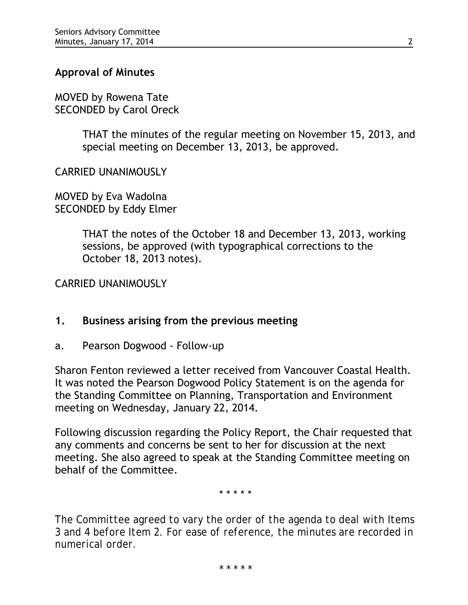### **Approval of Minutes**

MOVED by Rowena Tate SECONDED by Carol Oreck

> THAT the minutes of the regular meeting on November 15, 2013, and special meeting on December 13, 2013, be approved.

CARRIED UNANIMOUSLY

MOVED by Eva Wadolna SECONDED by Eddy Elmer

> THAT the notes of the October 18 and December 13, 2013, working sessions, be approved (with typographical corrections to the October 18, 2013 notes).

CARRIED UNANIMOUSLY

#### **1. Business arising from the previous meeting**

a. Pearson Dogwood - Follow-up

Sharon Fenton reviewed a letter received from Vancouver Coastal Health. It was noted the Pearson Dogwood Policy Statement is on the agenda for the Standing Committee on Planning, Transportation and Environment meeting on Wednesday, January 22, 2014.

Following discussion regarding the Policy Report, the Chair requested that any comments and concerns be sent to her for discussion at the next meeting. She also agreed to speak at the Standing Committee meeting on behalf of the Committee.

\* \* \* \* \*

*The Committee agreed to vary the order of the agenda to deal with Items 3 and 4 before Item 2. For ease of reference, the minutes are recorded in numerical order.*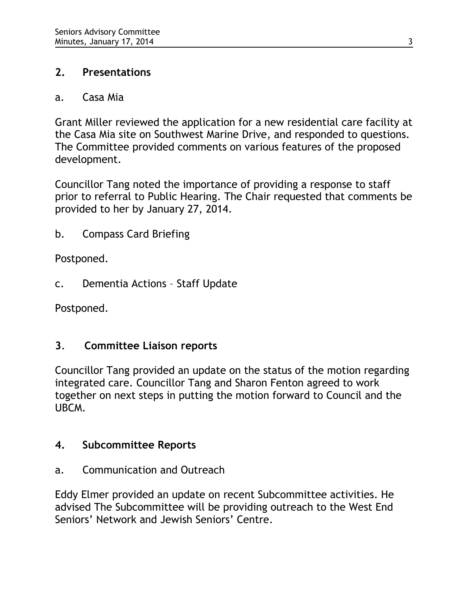## **2. Presentations**

## a. Casa Mia

Grant Miller reviewed the application for a new residential care facility at the Casa Mia site on Southwest Marine Drive, and responded to questions. The Committee provided comments on various features of the proposed development.

Councillor Tang noted the importance of providing a response to staff prior to referral to Public Hearing. The Chair requested that comments be provided to her by January 27, 2014.

b. Compass Card Briefing

Postponed.

c. Dementia Actions – Staff Update

Postponed.

## **3**. **Committee Liaison reports**

Councillor Tang provided an update on the status of the motion regarding integrated care. Councillor Tang and Sharon Fenton agreed to work together on next steps in putting the motion forward to Council and the UBCM.

## **4. Subcommittee Reports**

a. Communication and Outreach

Eddy Elmer provided an update on recent Subcommittee activities. He advised The Subcommittee will be providing outreach to the West End Seniors' Network and Jewish Seniors' Centre.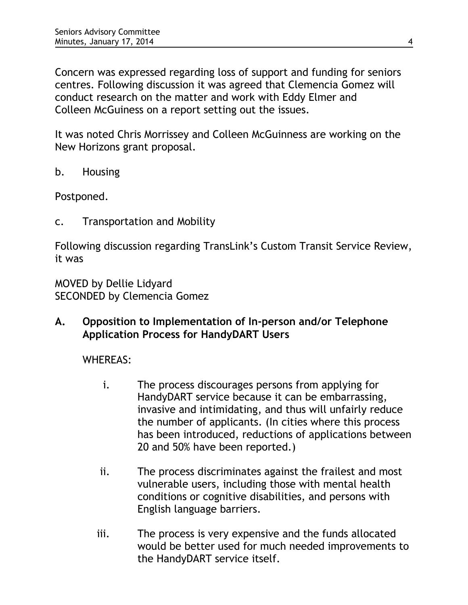Concern was expressed regarding loss of support and funding for seniors centres. Following discussion it was agreed that Clemencia Gomez will conduct research on the matter and work with Eddy Elmer and Colleen McGuiness on a report setting out the issues.

It was noted Chris Morrissey and Colleen McGuinness are working on the New Horizons grant proposal.

b. Housing

Postponed.

c. Transportation and Mobility

Following discussion regarding TransLink's Custom Transit Service Review, it was

MOVED by Dellie Lidyard SECONDED by Clemencia Gomez

**A. Opposition to Implementation of In-person and/or Telephone Application Process for HandyDART Users**

WHEREAS:

- i. The process discourages persons from applying for HandyDART service because it can be embarrassing, invasive and intimidating, and thus will unfairly reduce the number of applicants. (In cities where this process has been introduced, reductions of applications between 20 and 50% have been reported.)
- ii. The process discriminates against the frailest and most vulnerable users, including those with mental health conditions or cognitive disabilities, and persons with English language barriers.
- iii. The process is very expensive and the funds allocated would be better used for much needed improvements to the HandyDART service itself.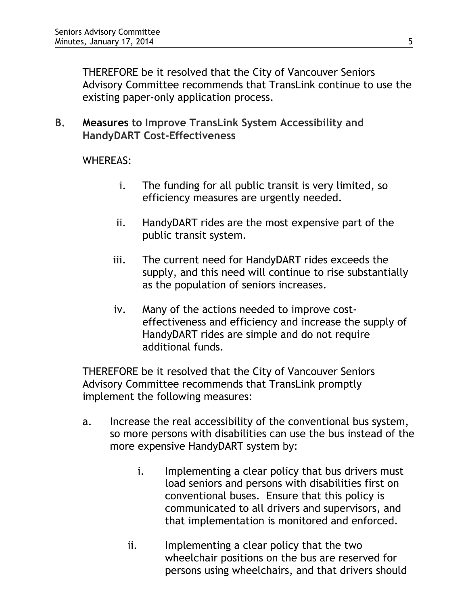THEREFORE be it resolved that the City of Vancouver Seniors Advisory Committee recommends that TransLink continue to use the existing paper-only application process.

**B. Measures to Improve TransLink System Accessibility and HandyDART Cost-Effectiveness**

WHEREAS:

- i. The funding for all public transit is very limited, so efficiency measures are urgently needed.
- ii. HandyDART rides are the most expensive part of the public transit system.
- iii. The current need for HandyDART rides exceeds the supply, and this need will continue to rise substantially as the population of seniors increases.
- iv. Many of the actions needed to improve costeffectiveness and efficiency and increase the supply of HandyDART rides are simple and do not require additional funds.

THEREFORE be it resolved that the City of Vancouver Seniors Advisory Committee recommends that TransLink promptly implement the following measures:

- a. Increase the real accessibility of the conventional bus system, so more persons with disabilities can use the bus instead of the more expensive HandyDART system by:
	- i. Implementing a clear policy that bus drivers must load seniors and persons with disabilities first on conventional buses. Ensure that this policy is communicated to all drivers and supervisors, and that implementation is monitored and enforced.
	- ii. Implementing a clear policy that the two wheelchair positions on the bus are reserved for persons using wheelchairs, and that drivers should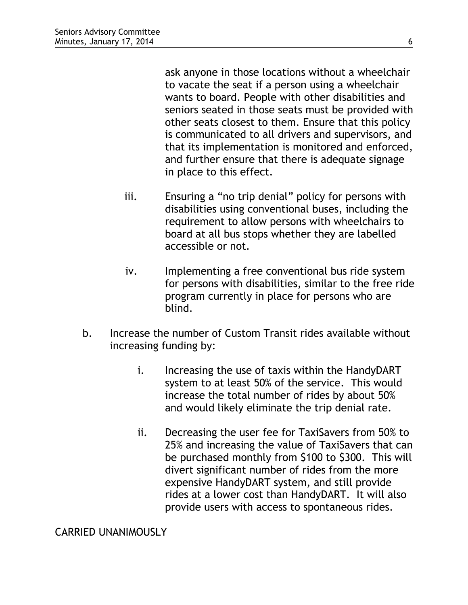ask anyone in those locations without a wheelchair to vacate the seat if a person using a wheelchair wants to board. People with other disabilities and seniors seated in those seats must be provided with other seats closest to them. Ensure that this policy is communicated to all drivers and supervisors, and that its implementation is monitored and enforced, and further ensure that there is adequate signage in place to this effect.

- iii. Ensuring a "no trip denial" policy for persons with disabilities using conventional buses, including the requirement to allow persons with wheelchairs to board at all bus stops whether they are labelled accessible or not.
- iv. Implementing a free conventional bus ride system for persons with disabilities, similar to the free ride program currently in place for persons who are blind.
- b. Increase the number of Custom Transit rides available without increasing funding by:
	- i. Increasing the use of taxis within the HandyDART system to at least 50% of the service. This would increase the total number of rides by about 50% and would likely eliminate the trip denial rate.
	- ii. Decreasing the user fee for TaxiSavers from 50% to 25% and increasing the value of TaxiSavers that can be purchased monthly from \$100 to \$300. This will divert significant number of rides from the more expensive HandyDART system, and still provide rides at a lower cost than HandyDART. It will also provide users with access to spontaneous rides.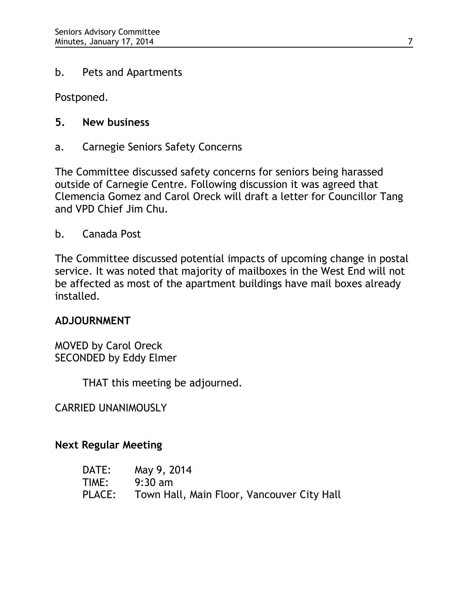#### b. Pets and Apartments

Postponed.

## **5. New business**

a. Carnegie Seniors Safety Concerns

The Committee discussed safety concerns for seniors being harassed outside of Carnegie Centre. Following discussion it was agreed that Clemencia Gomez and Carol Oreck will draft a letter for Councillor Tang and VPD Chief Jim Chu.

b. Canada Post

The Committee discussed potential impacts of upcoming change in postal service. It was noted that majority of mailboxes in the West End will not be affected as most of the apartment buildings have mail boxes already installed.

## **ADJOURNMENT**

MOVED by Carol Oreck SECONDED by Eddy Elmer

THAT this meeting be adjourned.

CARRIED UNANIMOUSLY

## **Next Regular Meeting**

| DATE:  | May 9, 2014                                |
|--------|--------------------------------------------|
| TIME:  | $9:30 \text{ am}$                          |
| PLACE: | Town Hall, Main Floor, Vancouver City Hall |